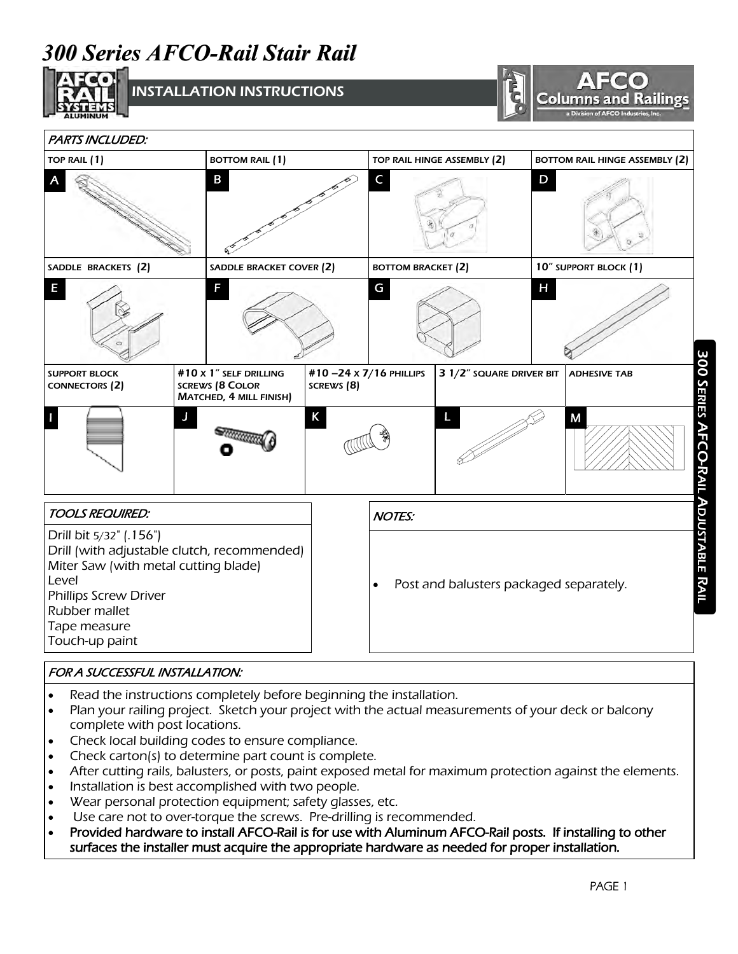# *300 Series AFCO-Rail Stair Rail*



INSTALLATION INSTRUCTIONS



| <b>PARTS INCLUDED:</b>                                                                                                                                                                              |                                                                             |                                      |                                                      |                          |                       |                                       |  |  |
|-----------------------------------------------------------------------------------------------------------------------------------------------------------------------------------------------------|-----------------------------------------------------------------------------|--------------------------------------|------------------------------------------------------|--------------------------|-----------------------|---------------------------------------|--|--|
| TOP RAIL (1)                                                                                                                                                                                        | <b>BOTTOM RAIL (1)</b>                                                      |                                      | TOP RAIL HINGE ASSEMBLY (2)                          |                          |                       | <b>BOTTOM RAIL HINGE ASSEMBLY (2)</b> |  |  |
| В                                                                                                                                                                                                   |                                                                             |                                      | C                                                    |                          | D                     |                                       |  |  |
| SADDLE BRACKETS (2)                                                                                                                                                                                 | SADDLE BRACKET COVER (2)                                                    |                                      | <b>BOTTOM BRACKET (2)</b>                            |                          | 10" SUPPORT BLOCK (1) |                                       |  |  |
| E                                                                                                                                                                                                   | F                                                                           |                                      | G                                                    |                          | Н                     |                                       |  |  |
| <b>SUPPORT BLOCK</b><br><b>CONNECTORS (2)</b>                                                                                                                                                       | #10 x 1" SELF DRILLING<br><b>SCREWS (8 COLOR</b><br>MATCHED, 4 MILL FINISH) | #10-24 x 7/16 PHILLIPS<br>SCREWS (8) |                                                      | 3 1/2" SQUARE DRIVER BIT |                       | <b>ADHESIVE TAB</b>                   |  |  |
|                                                                                                                                                                                                     | J                                                                           | K                                    |                                                      | L                        |                       | M                                     |  |  |
| <b>TOOLS REQUIRED:</b>                                                                                                                                                                              |                                                                             |                                      | <b>NOTES:</b>                                        |                          |                       |                                       |  |  |
| Drill bit 5/32" (.156")<br>Drill (with adjustable clutch, recommended)<br>Miter Saw (with metal cutting blade)<br>Level<br>Phillips Screw Driver<br>Rubber mallet<br>Tape measure<br>Touch-up paint |                                                                             |                                      | Post and balusters packaged separately.<br>$\bullet$ |                          |                       |                                       |  |  |

#### FOR A SUCCESSFUL INSTALLATION:

- Read the instructions completely before beginning the installation.
- Plan your railing project. Sketch your project with the actual measurements of your deck or balcony complete with post locations.
- Check local building codes to ensure compliance.
- Check carton(s) to determine part count is complete.
- After cutting rails, balusters, or posts, paint exposed metal for maximum protection against the elements.
- Installation is best accomplished with two people.
- Wear personal protection equipment; safety glasses, etc.
- Use care not to over-torque the screws. Pre-drilling is recommended.
- Provided hardware to install AFCO-Rail is for use with Aluminum AFCO-Rail posts. If installing to other surfaces the installer must acquire the appropriate hardware as needed for proper installation.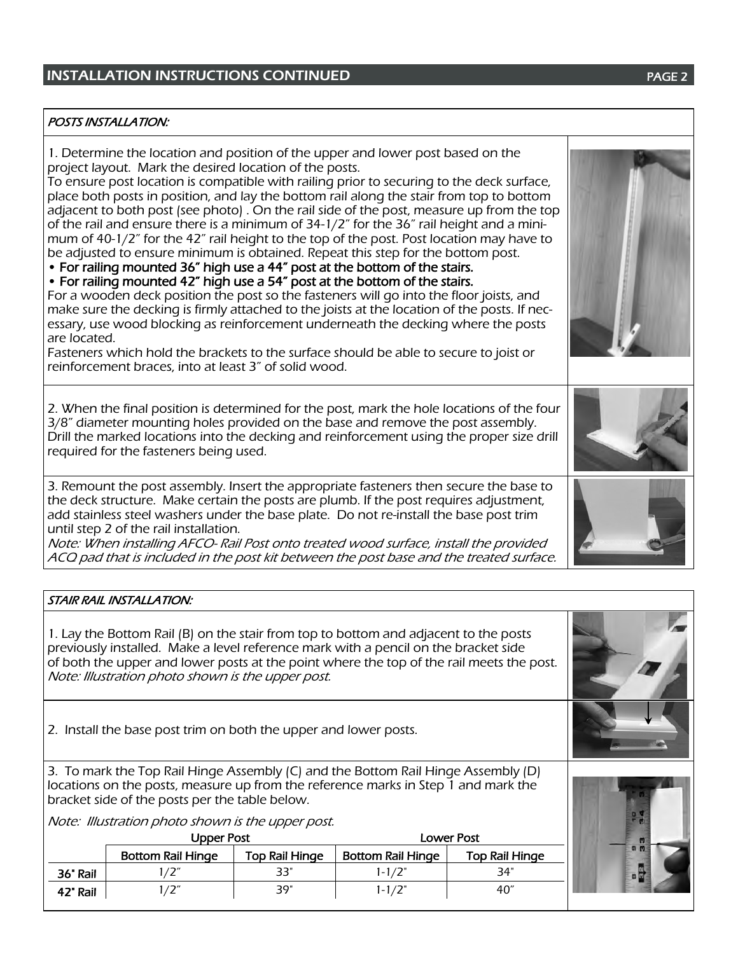### **INSTALLATION INSTRUCTIONS CONTINUED EXAMPLE 2 PAGE 2**

#### POSTS INSTALLATION:

1. Determine the location and position of the upper and lower post based on the project layout. Mark the desired location of the posts.

To ensure post location is compatible with railing prior to securing to the deck surface, place both posts in position, and lay the bottom rail along the stair from top to bottom adjacent to both post (see photo) . On the rail side of the post, measure up from the top of the rail and ensure there is a minimum of 34-1/2" for the 36" rail height and a minimum of 40-1/2" for the 42" rail height to the top of the post. Post location may have to be adjusted to ensure minimum is obtained. Repeat this step for the bottom post.

• For railing mounted 36" high use a 44" post at the bottom of the stairs.

• For railing mounted 42" high use a 54" post at the bottom of the stairs.

For a wooden deck position the post so the fasteners will go into the floor joists, and make sure the decking is firmly attached to the joists at the location of the posts. If necessary, use wood blocking as reinforcement underneath the decking where the posts are located.

Fasteners which hold the brackets to the surface should be able to secure to joist or reinforcement braces, into at least 3" of solid wood.

2. When the final position is determined for the post, mark the hole locations of the four 3/8" diameter mounting holes provided on the base and remove the post assembly. Drill the marked locations into the decking and reinforcement using the proper size drill required for the fasteners being used.

3. Remount the post assembly. Insert the appropriate fasteners then secure the base to the deck structure. Make certain the posts are plumb. If the post requires adjustment, add stainless steel washers under the base plate. Do not re-install the base post trim until step 2 of the rail installation.

Note: When installing AFCO- Rail Post onto treated wood surface, install the provided ACQ pad that is included in the post kit between the post base and the treated surface.

#### STAIR RAIL INSTALLATION:

1. Lay the Bottom Rail (B) on the stair from top to bottom and adjacent to the posts previously installed. Make a level reference mark with a pencil on the bracket side of both the upper and lower posts at the point where the top of the rail meets the post. Note: Illustration photo shown is the upper post.

2. Install the base post trim on both the upper and lower posts.

3. To mark the Top Rail Hinge Assembly (C) and the Bottom Rail Hinge Assembly (D) locations on the posts, measure up from the reference marks in Step 1 and mark the bracket side of the posts per the table below.

Note: Illustration photo shown is the upper post.

|          | Upper Post               |                | Lower Post        |                |  |
|----------|--------------------------|----------------|-------------------|----------------|--|
|          | <b>Bottom Rail Hinge</b> | Top Rail Hinge | Bottom Rail Hinge | Top Rail Hinge |  |
| 36' Rail |                          | 33"            | $1 - 1/2"$        | 34"            |  |
| 42" Rail |                          | 39"            | $1 - 1/2"$        | 40″            |  |







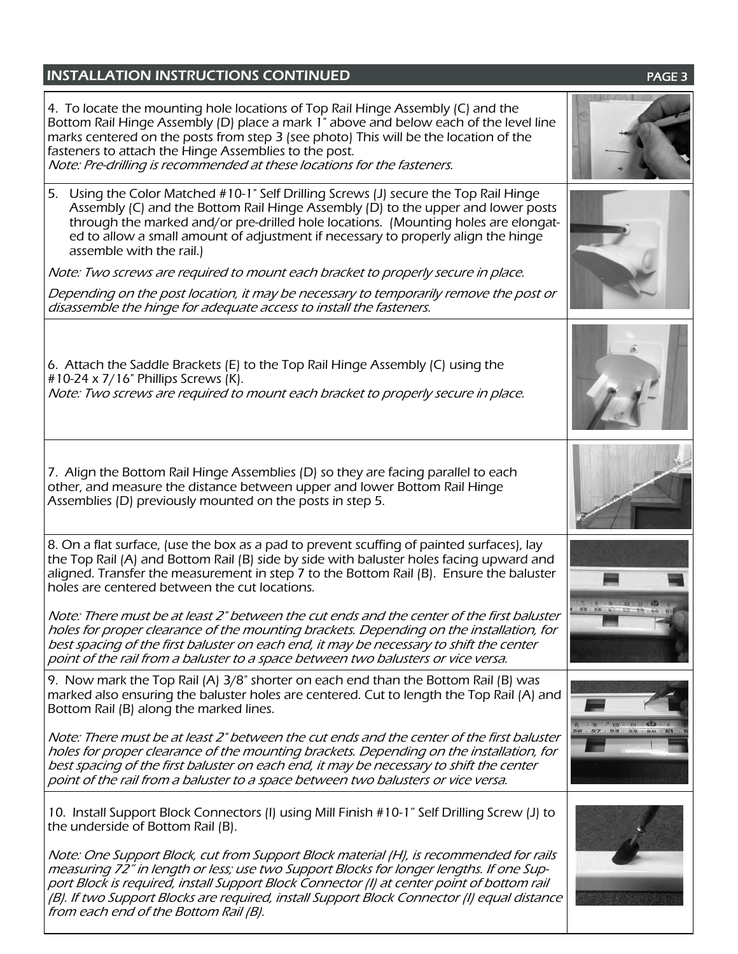### **INSTALLATION INSTRUCTIONS CONTINUED EXAMPLE 20 INSTALLATION INSTRUCTIONS**